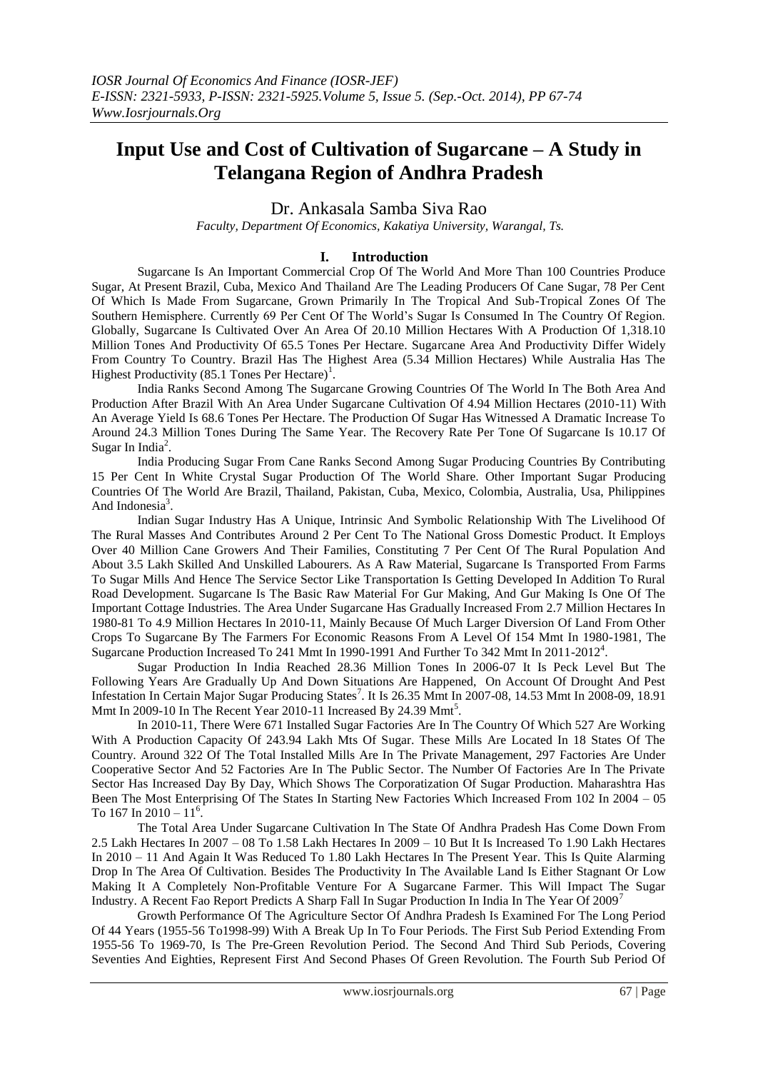# **Input Use and Cost of Cultivation of Sugarcane – A Study in Telangana Region of Andhra Pradesh**

Dr. Ankasala Samba Siva Rao

*Faculty, Department Of Economics, Kakatiya University, Warangal, Ts.*

# **I. Introduction**

Sugarcane Is An Important Commercial Crop Of The World And More Than 100 Countries Produce Sugar, At Present Brazil, Cuba, Mexico And Thailand Are The Leading Producers Of Cane Sugar, 78 Per Cent Of Which Is Made From Sugarcane, Grown Primarily In The Tropical And Sub-Tropical Zones Of The Southern Hemisphere. Currently 69 Per Cent Of The World's Sugar Is Consumed In The Country Of Region. Globally, Sugarcane Is Cultivated Over An Area Of 20.10 Million Hectares With A Production Of 1,318.10 Million Tones And Productivity Of 65.5 Tones Per Hectare. Sugarcane Area And Productivity Differ Widely From Country To Country. Brazil Has The Highest Area (5.34 Million Hectares) While Australia Has The Highest Productivity (85.1 Tones Per Hectare)<sup>1</sup>.

India Ranks Second Among The Sugarcane Growing Countries Of The World In The Both Area And Production After Brazil With An Area Under Sugarcane Cultivation Of 4.94 Million Hectares (2010-11) With An Average Yield Is 68.6 Tones Per Hectare. The Production Of Sugar Has Witnessed A Dramatic Increase To Around 24.3 Million Tones During The Same Year. The Recovery Rate Per Tone Of Sugarcane Is 10.17 Of Sugar In India<sup>2</sup>.

India Producing Sugar From Cane Ranks Second Among Sugar Producing Countries By Contributing 15 Per Cent In White Crystal Sugar Production Of The World Share. Other Important Sugar Producing Countries Of The World Are Brazil, Thailand, Pakistan, Cuba, Mexico, Colombia, Australia, Usa, Philippines And Indonesia $3$ .

Indian Sugar Industry Has A Unique, Intrinsic And Symbolic Relationship With The Livelihood Of The Rural Masses And Contributes Around 2 Per Cent To The National Gross Domestic Product. It Employs Over 40 Million Cane Growers And Their Families, Constituting 7 Per Cent Of The Rural Population And About 3.5 Lakh Skilled And Unskilled Labourers. As A Raw Material, Sugarcane Is Transported From Farms To Sugar Mills And Hence The Service Sector Like Transportation Is Getting Developed In Addition To Rural Road Development. Sugarcane Is The Basic Raw Material For Gur Making, And Gur Making Is One Of The Important Cottage Industries. The Area Under Sugarcane Has Gradually Increased From 2.7 Million Hectares In 1980-81 To 4.9 Million Hectares In 2010-11, Mainly Because Of Much Larger Diversion Of Land From Other Crops To Sugarcane By The Farmers For Economic Reasons From A Level Of 154 Mmt In 1980-1981, The Sugarcane Production Increased To 241 Mmt In 1990-1991 And Further To 342 Mmt In 2011-2012<sup>4</sup>.

Sugar Production In India Reached 28.36 Million Tones In 2006-07 It Is Peck Level But The Following Years Are Gradually Up And Down Situations Are Happened, On Account Of Drought And Pest Infestation In Certain Major Sugar Producing States<sup>7</sup>. It Is 26.35 Mmt In 2007-08, 14.53 Mmt In 2008-09, 18.91 Mmt In 2009-10 In The Recent Year 2010-11 Increased By 24.39 Mmt<sup>5</sup>.

In 2010-11, There Were 671 Installed Sugar Factories Are In The Country Of Which 527 Are Working With A Production Capacity Of 243.94 Lakh Mts Of Sugar. These Mills Are Located In 18 States Of The Country. Around 322 Of The Total Installed Mills Are In The Private Management, 297 Factories Are Under Cooperative Sector And 52 Factories Are In The Public Sector. The Number Of Factories Are In The Private Sector Has Increased Day By Day, Which Shows The Corporatization Of Sugar Production. Maharashtra Has Been The Most Enterprising Of The States In Starting New Factories Which Increased From 102 In 2004 – 05 To 167 In 2010 –  $11^6$ .

The Total Area Under Sugarcane Cultivation In The State Of Andhra Pradesh Has Come Down From 2.5 Lakh Hectares In 2007 – 08 To 1.58 Lakh Hectares In 2009 – 10 But It Is Increased To 1.90 Lakh Hectares In 2010 – 11 And Again It Was Reduced To 1.80 Lakh Hectares In The Present Year. This Is Quite Alarming Drop In The Area Of Cultivation. Besides The Productivity In The Available Land Is Either Stagnant Or Low Making It A Completely Non-Profitable Venture For A Sugarcane Farmer. This Will Impact The Sugar Industry. A Recent Fao Report Predicts A Sharp Fall In Sugar Production In India In The Year Of 2009<sup>7</sup>

Growth Performance Of The Agriculture Sector Of Andhra Pradesh Is Examined For The Long Period Of 44 Years (1955-56 To1998-99) With A Break Up In To Four Periods. The First Sub Period Extending From 1955-56 To 1969-70, Is The Pre-Green Revolution Period. The Second And Third Sub Periods, Covering Seventies And Eighties, Represent First And Second Phases Of Green Revolution. The Fourth Sub Period Of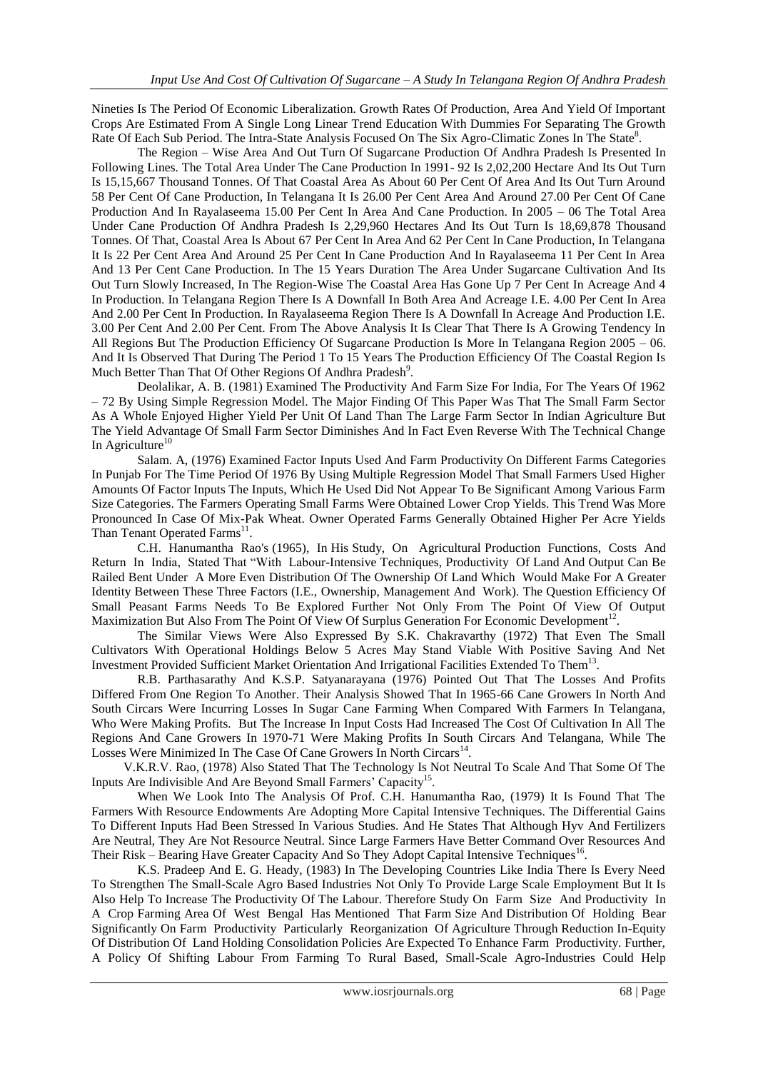Nineties Is The Period Of Economic Liberalization. Growth Rates Of Production, Area And Yield Of Important Crops Are Estimated From A Single Long Linear Trend Education With Dummies For Separating The Growth Rate Of Each Sub Period. The Intra-State Analysis Focused On The Six Agro-Climatic Zones In The State<sup>8</sup>.

The Region – Wise Area And Out Turn Of Sugarcane Production Of Andhra Pradesh Is Presented In Following Lines. The Total Area Under The Cane Production In 1991- 92 Is 2,02,200 Hectare And Its Out Turn Is 15,15,667 Thousand Tonnes. Of That Coastal Area As About 60 Per Cent Of Area And Its Out Turn Around 58 Per Cent Of Cane Production, In Telangana It Is 26.00 Per Cent Area And Around 27.00 Per Cent Of Cane Production And In Rayalaseema 15.00 Per Cent In Area And Cane Production. In 2005 – 06 The Total Area Under Cane Production Of Andhra Pradesh Is 2,29,960 Hectares And Its Out Turn Is 18,69,878 Thousand Tonnes. Of That, Coastal Area Is About 67 Per Cent In Area And 62 Per Cent In Cane Production, In Telangana It Is 22 Per Cent Area And Around 25 Per Cent In Cane Production And In Rayalaseema 11 Per Cent In Area And 13 Per Cent Cane Production. In The 15 Years Duration The Area Under Sugarcane Cultivation And Its Out Turn Slowly Increased, In The Region-Wise The Coastal Area Has Gone Up 7 Per Cent In Acreage And 4 In Production. In Telangana Region There Is A Downfall In Both Area And Acreage I.E. 4.00 Per Cent In Area And 2.00 Per Cent In Production. In Rayalaseema Region There Is A Downfall In Acreage And Production I.E. 3.00 Per Cent And 2.00 Per Cent. From The Above Analysis It Is Clear That There Is A Growing Tendency In All Regions But The Production Efficiency Of Sugarcane Production Is More In Telangana Region 2005 – 06. And It Is Observed That During The Period 1 To 15 Years The Production Efficiency Of The Coastal Region Is Much Better Than That Of Other Regions Of Andhra Pradesh<sup>9</sup>.

Deolalikar, A. B. (1981) Examined The Productivity And Farm Size For India, For The Years Of 1962 – 72 By Using Simple Regression Model. The Major Finding Of This Paper Was That The Small Farm Sector As A Whole Enjoyed Higher Yield Per Unit Of Land Than The Large Farm Sector In Indian Agriculture But The Yield Advantage Of Small Farm Sector Diminishes And In Fact Even Reverse With The Technical Change In Agriculture $10$ 

Salam. A, (1976) Examined Factor Inputs Used And Farm Productivity On Different Farms Categories In Punjab For The Time Period Of 1976 By Using Multiple Regression Model That Small Farmers Used Higher Amounts Of Factor Inputs The Inputs, Which He Used Did Not Appear To Be Significant Among Various Farm Size Categories. The Farmers Operating Small Farms Were Obtained Lower Crop Yields. This Trend Was More Pronounced In Case Of Mix-Pak Wheat. Owner Operated Farms Generally Obtained Higher Per Acre Yields Than Tenant Operated Farms<sup>11</sup>.

C.H. Hanumantha Rao's (1965), In His Study, On Agricultural Production Functions, Costs And Return In India, Stated That "With Labour-Intensive Techniques, Productivity Of Land And Output Can Be Railed Bent Under A More Even Distribution Of The Ownership Of Land Which Would Make For A Greater Identity Between These Three Factors (I.E., Ownership, Management And Work). The Question Efficiency Of Small Peasant Farms Needs To Be Explored Further Not Only From The Point Of View Of Output Maximization But Also From The Point Of View Of Surplus Generation For Economic Development<sup>12</sup>.

The Similar Views Were Also Expressed By S.K. Chakravarthy (1972) That Even The Small Cultivators With Operational Holdings Below 5 Acres May Stand Viable With Positive Saving And Net Investment Provided Sufficient Market Orientation And Irrigational Facilities Extended To Them<sup>13</sup>.

R.B. Parthasarathy And K.S.P. Satyanarayana (1976) Pointed Out That The Losses And Profits Differed From One Region To Another. Their Analysis Showed That In 1965-66 Cane Growers In North And South Circars Were Incurring Losses In Sugar Cane Farming When Compared With Farmers In Telangana, Who Were Making Profits. But The Increase In Input Costs Had Increased The Cost Of Cultivation In All The Regions And Cane Growers In 1970-71 Were Making Profits In South Circars And Telangana, While The Losses Were Minimized In The Case Of Cane Growers In North Circars<sup>14</sup>.

 V.K.R.V. Rao, (1978) Also Stated That The Technology Is Not Neutral To Scale And That Some Of The Inputs Are Indivisible And Are Beyond Small Farmers' Capacity<sup>15</sup>.

When We Look Into The Analysis Of Prof. C.H. Hanumantha Rao, (1979) It Is Found That The Farmers With Resource Endowments Are Adopting More Capital Intensive Techniques. The Differential Gains To Different Inputs Had Been Stressed In Various Studies. And He States That Although Hyv And Fertilizers Are Neutral, They Are Not Resource Neutral. Since Large Farmers Have Better Command Over Resources And Their Risk – Bearing Have Greater Capacity And So They Adopt Capital Intensive Techniques<sup>16</sup>.

 K.S. Pradeep And E. G. Heady, (1983) In The Developing Countries Like India There Is Every Need To Strengthen The Small-Scale Agro Based Industries Not Only To Provide Large Scale Employment But It Is Also Help To Increase The Productivity Of The Labour. Therefore Study On Farm Size And Productivity In A Crop Farming Area Of West Bengal Has Mentioned That Farm Size And Distribution Of Holding Bear Significantly On Farm Productivity Particularly Reorganization Of Agriculture Through Reduction In-Equity Of Distribution Of Land Holding Consolidation Policies Are Expected To Enhance Farm Productivity. Further, A Policy Of Shifting Labour From Farming To Rural Based, Small-Scale Agro-Industries Could Help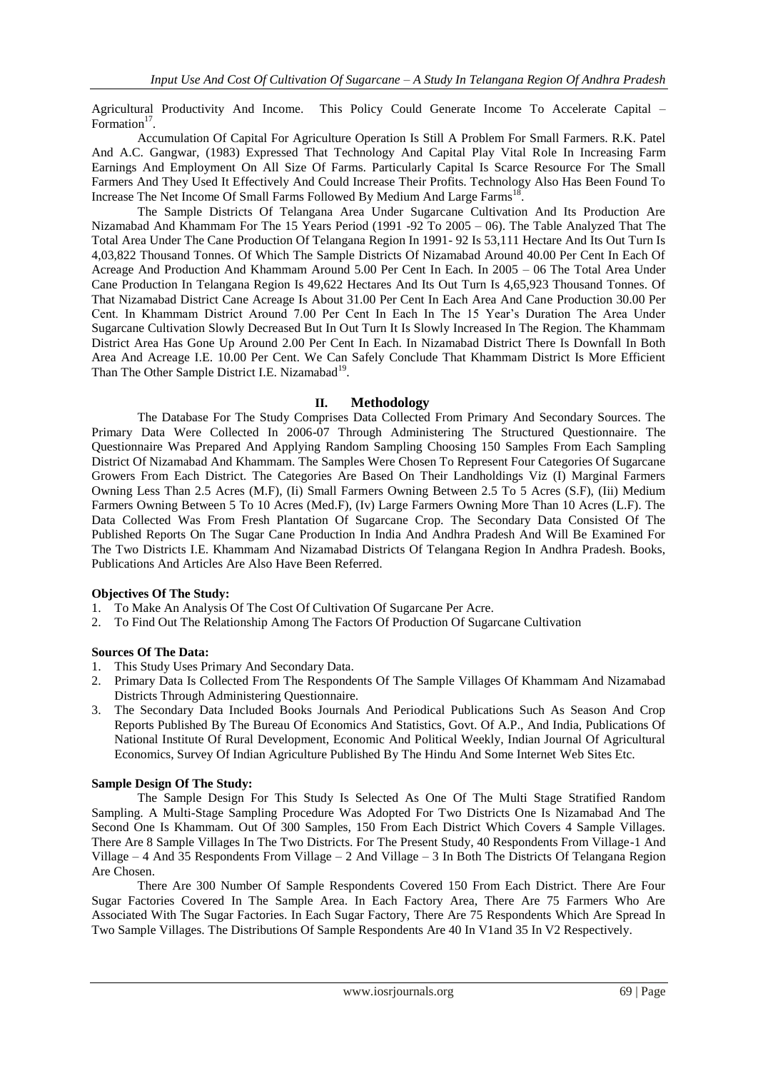Agricultural Productivity And Income. This Policy Could Generate Income To Accelerate Capital – Formation<sup>17</sup>.

Accumulation Of Capital For Agriculture Operation Is Still A Problem For Small Farmers. R.K. Patel And A.C. Gangwar, (1983) Expressed That Technology And Capital Play Vital Role In Increasing Farm Earnings And Employment On All Size Of Farms. Particularly Capital Is Scarce Resource For The Small Farmers And They Used It Effectively And Could Increase Their Profits. Technology Also Has Been Found To Increase The Net Income Of Small Farms Followed By Medium And Large Farms<sup>18</sup>.

The Sample Districts Of Telangana Area Under Sugarcane Cultivation And Its Production Are Nizamabad And Khammam For The 15 Years Period (1991 -92 To 2005 – 06). The Table Analyzed That The Total Area Under The Cane Production Of Telangana Region In 1991- 92 Is 53,111 Hectare And Its Out Turn Is 4,03,822 Thousand Tonnes. Of Which The Sample Districts Of Nizamabad Around 40.00 Per Cent In Each Of Acreage And Production And Khammam Around 5.00 Per Cent In Each. In 2005 – 06 The Total Area Under Cane Production In Telangana Region Is 49,622 Hectares And Its Out Turn Is 4,65,923 Thousand Tonnes. Of That Nizamabad District Cane Acreage Is About 31.00 Per Cent In Each Area And Cane Production 30.00 Per Cent. In Khammam District Around 7.00 Per Cent In Each In The 15 Year's Duration The Area Under Sugarcane Cultivation Slowly Decreased But In Out Turn It Is Slowly Increased In The Region. The Khammam District Area Has Gone Up Around 2.00 Per Cent In Each. In Nizamabad District There Is Downfall In Both Area And Acreage I.E. 10.00 Per Cent. We Can Safely Conclude That Khammam District Is More Efficient Than The Other Sample District I.E. Nizamabad<sup>19</sup>.

### **II. Methodology**

The Database For The Study Comprises Data Collected From Primary And Secondary Sources. The Primary Data Were Collected In 2006-07 Through Administering The Structured Questionnaire. The Questionnaire Was Prepared And Applying Random Sampling Choosing 150 Samples From Each Sampling District Of Nizamabad And Khammam. The Samples Were Chosen To Represent Four Categories Of Sugarcane Growers From Each District. The Categories Are Based On Their Landholdings Viz (I) Marginal Farmers Owning Less Than 2.5 Acres (M.F), (Ii) Small Farmers Owning Between 2.5 To 5 Acres (S.F), (Iii) Medium Farmers Owning Between 5 To 10 Acres (Med.F), (Iv) Large Farmers Owning More Than 10 Acres (L.F). The Data Collected Was From Fresh Plantation Of Sugarcane Crop. The Secondary Data Consisted Of The Published Reports On The Sugar Cane Production In India And Andhra Pradesh And Will Be Examined For The Two Districts I.E. Khammam And Nizamabad Districts Of Telangana Region In Andhra Pradesh. Books, Publications And Articles Are Also Have Been Referred.

## **Objectives Of The Study:**

- 1. To Make An Analysis Of The Cost Of Cultivation Of Sugarcane Per Acre.
- 2. To Find Out The Relationship Among The Factors Of Production Of Sugarcane Cultivation

#### **Sources Of The Data:**

- 1. This Study Uses Primary And Secondary Data.
- 2. Primary Data Is Collected From The Respondents Of The Sample Villages Of Khammam And Nizamabad Districts Through Administering Questionnaire.
- 3. The Secondary Data Included Books Journals And Periodical Publications Such As Season And Crop Reports Published By The Bureau Of Economics And Statistics, Govt. Of A.P., And India, Publications Of National Institute Of Rural Development, Economic And Political Weekly, Indian Journal Of Agricultural Economics, Survey Of Indian Agriculture Published By The Hindu And Some Internet Web Sites Etc.

#### **Sample Design Of The Study:**

The Sample Design For This Study Is Selected As One Of The Multi Stage Stratified Random Sampling. A Multi-Stage Sampling Procedure Was Adopted For Two Districts One Is Nizamabad And The Second One Is Khammam. Out Of 300 Samples, 150 From Each District Which Covers 4 Sample Villages. There Are 8 Sample Villages In The Two Districts. For The Present Study, 40 Respondents From Village-1 And Village – 4 And 35 Respondents From Village – 2 And Village – 3 In Both The Districts Of Telangana Region Are Chosen.

There Are 300 Number Of Sample Respondents Covered 150 From Each District. There Are Four Sugar Factories Covered In The Sample Area. In Each Factory Area, There Are 75 Farmers Who Are Associated With The Sugar Factories. In Each Sugar Factory, There Are 75 Respondents Which Are Spread In Two Sample Villages. The Distributions Of Sample Respondents Are 40 In V1and 35 In V2 Respectively.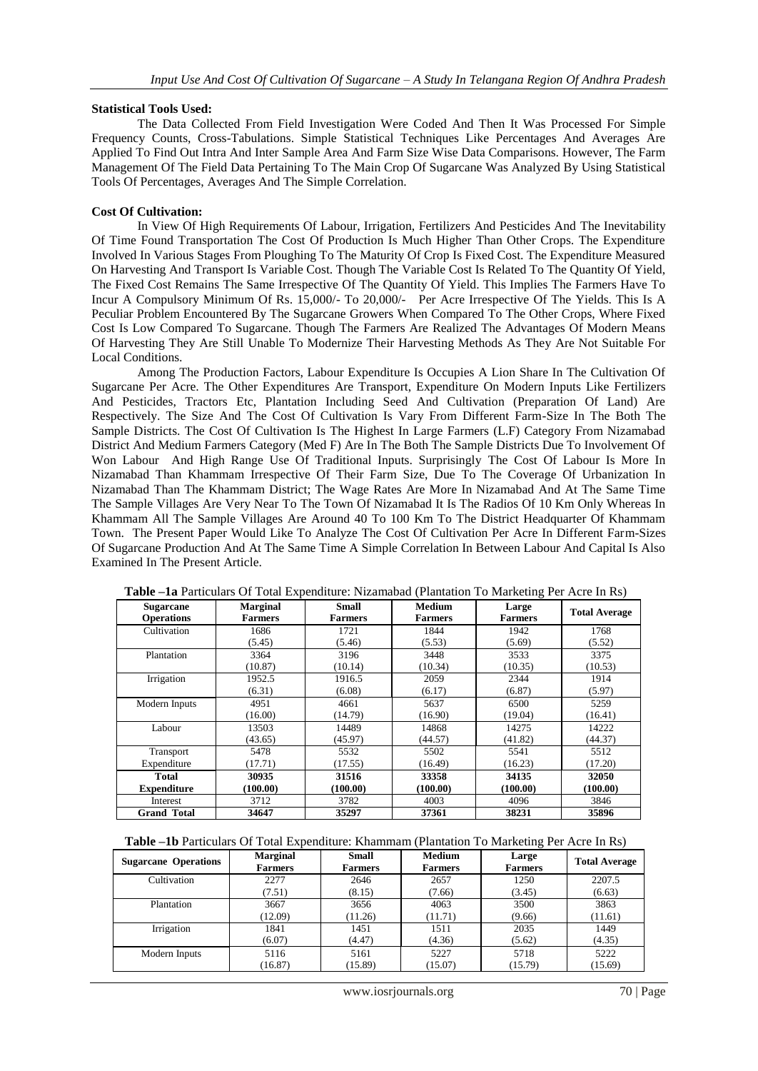# **Statistical Tools Used:**

The Data Collected From Field Investigation Were Coded And Then It Was Processed For Simple Frequency Counts, Cross-Tabulations. Simple Statistical Techniques Like Percentages And Averages Are Applied To Find Out Intra And Inter Sample Area And Farm Size Wise Data Comparisons. However, The Farm Management Of The Field Data Pertaining To The Main Crop Of Sugarcane Was Analyzed By Using Statistical Tools Of Percentages, Averages And The Simple Correlation.

# **Cost Of Cultivation:**

In View Of High Requirements Of Labour, Irrigation, Fertilizers And Pesticides And The Inevitability Of Time Found Transportation The Cost Of Production Is Much Higher Than Other Crops. The Expenditure Involved In Various Stages From Ploughing To The Maturity Of Crop Is Fixed Cost. The Expenditure Measured On Harvesting And Transport Is Variable Cost. Though The Variable Cost Is Related To The Quantity Of Yield, The Fixed Cost Remains The Same Irrespective Of The Quantity Of Yield. This Implies The Farmers Have To Incur A Compulsory Minimum Of Rs. 15,000/- To 20,000/- Per Acre Irrespective Of The Yields. This Is A Peculiar Problem Encountered By The Sugarcane Growers When Compared To The Other Crops, Where Fixed Cost Is Low Compared To Sugarcane. Though The Farmers Are Realized The Advantages Of Modern Means Of Harvesting They Are Still Unable To Modernize Their Harvesting Methods As They Are Not Suitable For Local Conditions.

Among The Production Factors, Labour Expenditure Is Occupies A Lion Share In The Cultivation Of Sugarcane Per Acre. The Other Expenditures Are Transport, Expenditure On Modern Inputs Like Fertilizers And Pesticides, Tractors Etc, Plantation Including Seed And Cultivation (Preparation Of Land) Are Respectively. The Size And The Cost Of Cultivation Is Vary From Different Farm-Size In The Both The Sample Districts. The Cost Of Cultivation Is The Highest In Large Farmers (L.F) Category From Nizamabad District And Medium Farmers Category (Med F) Are In The Both The Sample Districts Due To Involvement Of Won Labour And High Range Use Of Traditional Inputs. Surprisingly The Cost Of Labour Is More In Nizamabad Than Khammam Irrespective Of Their Farm Size, Due To The Coverage Of Urbanization In Nizamabad Than The Khammam District; The Wage Rates Are More In Nizamabad And At The Same Time The Sample Villages Are Very Near To The Town Of Nizamabad It Is The Radios Of 10 Km Only Whereas In Khammam All The Sample Villages Are Around 40 To 100 Km To The District Headquarter Of Khammam Town. The Present Paper Would Like To Analyze The Cost Of Cultivation Per Acre In Different Farm-Sizes Of Sugarcane Production And At The Same Time A Simple Correlation In Between Labour And Capital Is Also Examined In The Present Article.

| <b>Sugarcane</b><br><b>Operations</b> | <b>Marginal</b><br><b>Farmers</b> | <b>Small</b><br><b>Farmers</b> | <b>Medium</b><br><b>Farmers</b> | Large<br><b>Farmers</b> | <b>Total Average</b> |
|---------------------------------------|-----------------------------------|--------------------------------|---------------------------------|-------------------------|----------------------|
| Cultivation                           | 1686                              | 1721                           | 1844                            | 1942                    | 1768                 |
|                                       | (5.45)                            | (5.46)                         | (5.53)                          | (5.69)                  | (5.52)               |
| Plantation                            | 3364                              | 3196                           | 3448                            | 3533                    | 3375                 |
|                                       | (10.87)                           | (10.14)                        | (10.34)                         | (10.35)                 | (10.53)              |
| Irrigation                            | 1952.5                            | 1916.5                         | 2059                            | 2344                    | 1914                 |
|                                       | (6.31)                            | (6.08)                         | (6.17)                          | (6.87)                  | (5.97)               |
| Modern Inputs                         | 4951                              | 4661                           | 5637                            | 6500                    | 5259                 |
|                                       | (16.00)                           | (14.79)                        | (16.90)                         | (19.04)                 | (16.41)              |
| Labour                                | 13503                             | 14489                          | 14868                           | 14275                   | 14222                |
|                                       | (43.65)                           | (45.97)                        | (44.57)                         | (41.82)                 | (44.37)              |
| Transport                             | 5478                              | 5532                           | 5502                            | 5541                    | 5512                 |
| Expenditure                           | (17.71)                           | (17.55)                        | (16.49)                         | (16.23)                 | (17.20)              |
| Total                                 | 30935                             | 31516                          | 33358                           | 34135                   | 32050                |
| <b>Expenditure</b>                    | (100.00)                          | (100.00)                       | (100.00)                        | (100.00)                | (100.00)             |
| Interest                              | 3712                              | 3782                           | 4003                            | 4096                    | 3846                 |
| <b>Grand Total</b>                    | 34647                             | 35297                          | 37361                           | 38231                   | 35896                |

**Table –1a** Particulars Of Total Expenditure: Nizamabad (Plantation To Marketing Per Acre In Rs)

**Table –1b** Particulars Of Total Expenditure: Khammam (Plantation To Marketing Per Acre In Rs)

| <b>Sugarcane Operations</b> | <b>Marginal</b><br><b>Farmers</b> | <b>Small</b><br><b>Farmers</b> | <b>Medium</b><br><b>Farmers</b> | Large<br><b>Farmers</b> | <b>Total Average</b> |
|-----------------------------|-----------------------------------|--------------------------------|---------------------------------|-------------------------|----------------------|
| Cultivation                 | 2277                              | 2646                           | 2657                            | 1250                    | 2207.5               |
|                             | (7.51)                            | (8.15)                         | (7.66)                          | (3.45)                  | (6.63)               |
| Plantation                  | 3667                              | 3656                           | 4063                            | 3500                    | 3863                 |
|                             | (12.09)                           | (11.26)                        | (11.71)                         | (9.66)                  | (11.61)              |
| Irrigation                  | 1841                              | 1451                           | 1511                            | 2035                    | 1449                 |
|                             | (6.07)                            | (4.47)                         | (4.36)                          | (5.62)                  | (4.35)               |
| Modern Inputs               | 5116                              | 5161                           | 5227                            | 5718                    | 5222                 |
|                             | (16.87)                           | (15.89)                        | (15.07)                         | (15.79)                 | (15.69)              |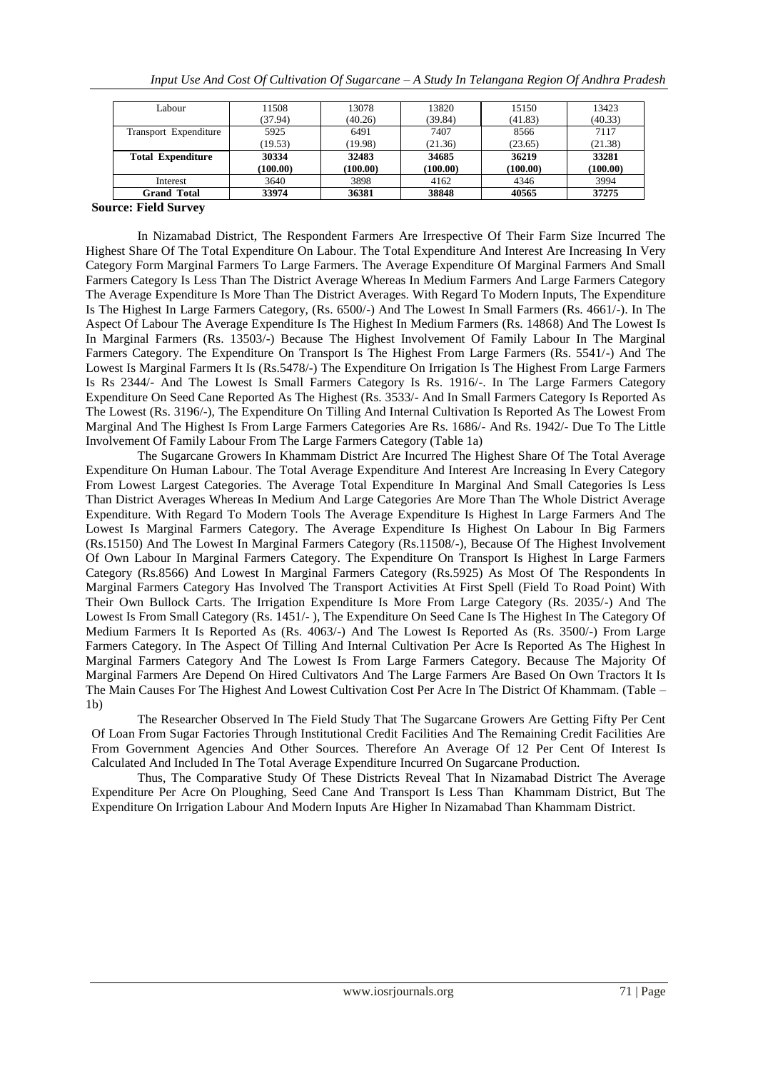| Interest                 | 3640     | 3898     | 4162     | 4346     | 3994     |
|--------------------------|----------|----------|----------|----------|----------|
|                          | (100.00) | (100.00) | (100.00) | (100.00) | (100.00) |
| <b>Total Expenditure</b> | 30334    | 32483    | 34685    | 36219    | 33281    |
|                          | (19.53)  | (19.98)  | (21.36)  | (23.65)  | (21.38)  |
| Transport Expenditure    | 5925     | 6491     | 7407     | 8566     | 7117     |
|                          | (37.94)  | (40.26)  | (39.84)  | (41.83)  | (40.33)  |
| Labour                   | 11508    | 13078    | 13820    | 15150    | 13423    |

## **Source: Field Survey**

In Nizamabad District, The Respondent Farmers Are Irrespective Of Their Farm Size Incurred The Highest Share Of The Total Expenditure On Labour. The Total Expenditure And Interest Are Increasing In Very Category Form Marginal Farmers To Large Farmers. The Average Expenditure Of Marginal Farmers And Small Farmers Category Is Less Than The District Average Whereas In Medium Farmers And Large Farmers Category The Average Expenditure Is More Than The District Averages. With Regard To Modern Inputs, The Expenditure Is The Highest In Large Farmers Category, (Rs. 6500/-) And The Lowest In Small Farmers (Rs. 4661/-). In The Aspect Of Labour The Average Expenditure Is The Highest In Medium Farmers (Rs. 14868) And The Lowest Is In Marginal Farmers (Rs. 13503/-) Because The Highest Involvement Of Family Labour In The Marginal Farmers Category. The Expenditure On Transport Is The Highest From Large Farmers (Rs. 5541/-) And The Lowest Is Marginal Farmers It Is (Rs.5478/-) The Expenditure On Irrigation Is The Highest From Large Farmers Is Rs 2344/- And The Lowest Is Small Farmers Category Is Rs. 1916/-. In The Large Farmers Category Expenditure On Seed Cane Reported As The Highest (Rs. 3533/- And In Small Farmers Category Is Reported As The Lowest (Rs. 3196/-), The Expenditure On Tilling And Internal Cultivation Is Reported As The Lowest From Marginal And The Highest Is From Large Farmers Categories Are Rs. 1686/- And Rs. 1942/- Due To The Little Involvement Of Family Labour From The Large Farmers Category (Table 1a)

The Sugarcane Growers In Khammam District Are Incurred The Highest Share Of The Total Average Expenditure On Human Labour. The Total Average Expenditure And Interest Are Increasing In Every Category From Lowest Largest Categories. The Average Total Expenditure In Marginal And Small Categories Is Less Than District Averages Whereas In Medium And Large Categories Are More Than The Whole District Average Expenditure. With Regard To Modern Tools The Average Expenditure Is Highest In Large Farmers And The Lowest Is Marginal Farmers Category. The Average Expenditure Is Highest On Labour In Big Farmers (Rs.15150) And The Lowest In Marginal Farmers Category (Rs.11508/-), Because Of The Highest Involvement Of Own Labour In Marginal Farmers Category. The Expenditure On Transport Is Highest In Large Farmers Category (Rs.8566) And Lowest In Marginal Farmers Category (Rs.5925) As Most Of The Respondents In Marginal Farmers Category Has Involved The Transport Activities At First Spell (Field To Road Point) With Their Own Bullock Carts. The Irrigation Expenditure Is More From Large Category (Rs. 2035/-) And The Lowest Is From Small Category (Rs. 1451/- ), The Expenditure On Seed Cane Is The Highest In The Category Of Medium Farmers It Is Reported As (Rs. 4063/-) And The Lowest Is Reported As (Rs. 3500/-) From Large Farmers Category. In The Aspect Of Tilling And Internal Cultivation Per Acre Is Reported As The Highest In Marginal Farmers Category And The Lowest Is From Large Farmers Category. Because The Majority Of Marginal Farmers Are Depend On Hired Cultivators And The Large Farmers Are Based On Own Tractors It Is The Main Causes For The Highest And Lowest Cultivation Cost Per Acre In The District Of Khammam. (Table –  $1<sub>b</sub>$ 

The Researcher Observed In The Field Study That The Sugarcane Growers Are Getting Fifty Per Cent Of Loan From Sugar Factories Through Institutional Credit Facilities And The Remaining Credit Facilities Are From Government Agencies And Other Sources. Therefore An Average Of 12 Per Cent Of Interest Is Calculated And Included In The Total Average Expenditure Incurred On Sugarcane Production.

Thus, The Comparative Study Of These Districts Reveal That In Nizamabad District The Average Expenditure Per Acre On Ploughing, Seed Cane And Transport Is Less Than Khammam District, But The Expenditure On Irrigation Labour And Modern Inputs Are Higher In Nizamabad Than Khammam District.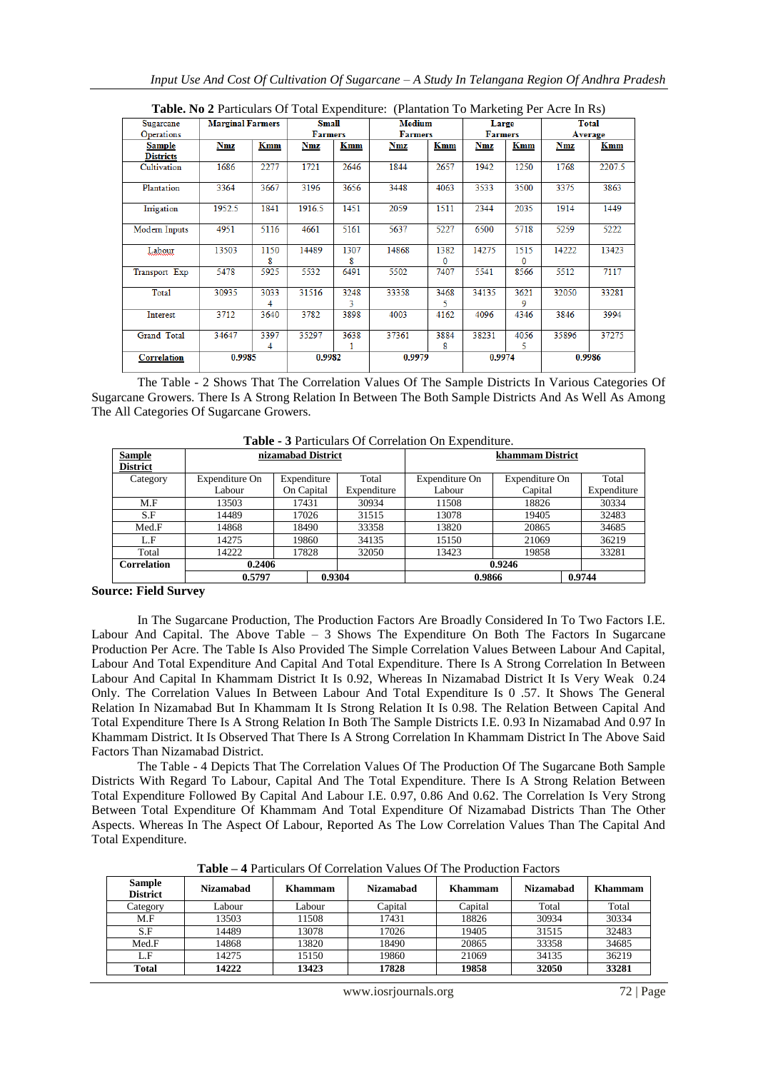|                    | <b>THERE</b> I'D <b>A</b> I'D and the digital dependence of the production to mathematic term in $\mathbf{R}$ |           |                |           |                |           |                |                  |         |        |
|--------------------|---------------------------------------------------------------------------------------------------------------|-----------|----------------|-----------|----------------|-----------|----------------|------------------|---------|--------|
| Sugarcane          | <b>Marginal Farmers</b>                                                                                       |           | Small          |           | <b>Medium</b>  |           | Large          |                  |         | Total  |
| <b>Operations</b>  |                                                                                                               |           | <b>Farmers</b> |           | <b>Farmers</b> |           | <b>Farmers</b> |                  | Average |        |
| Sample             | Nmz                                                                                                           | Kmm       | Nmz            | Kmm       | Nmz            | Kmm       | Nmz            | Kmm              | Nmz     | Kmm    |
| <b>Districts</b>   |                                                                                                               |           |                |           |                |           |                |                  |         |        |
| Cultivation        | 1686                                                                                                          | 2277      | 1721           | 2646      | 1844           | 2657      | 1942           | 1250             | 1768    | 2207.5 |
| Plantation         | 3364                                                                                                          | 3667      | 3196           | 3656      | 3448           | 4063      | 3533           | 3500             | 3375    | 3863   |
| Imigation          | 1952.5                                                                                                        | 1841      | 1916.5         | 1451      | 2059           | 1511      | 2344           | 2035             | 1914    | 1449   |
| Modern Inputs      | 4951                                                                                                          | 5116      | 4661           | 5161      | 5637           | 5227      | 6500           | 5718             | 5259    | 5222   |
| Labour             | 13503                                                                                                         | 1150<br>8 | 14489          | 1307<br>8 | 14868          | 1382<br>0 | 14275          | 1515<br>$\Omega$ | 14222   | 13423  |
| Transport Exp      | 5478                                                                                                          | 5925      | 5532           | 6491      | 5502           | 7407      | 5541           | 8566             | 5512    | 7117   |
| Total              | 30935                                                                                                         | 3033<br>4 | 31516          | 3248<br>3 | 33358          | 3468<br>5 | 34135          | 3621<br>9        | 32050   | 33281  |
| Interest           | 3712                                                                                                          | 3640      | 3782           | 3898      | 4003           | 4162      | 4096           | 4346             | 3846    | 3994   |
| <b>Grand Total</b> | 34647                                                                                                         | 3397<br>4 | 35297          | 3638      | 37361          | 3884<br>8 | 38231          | 4056<br>5        | 35896   | 37275  |
| <b>Correlation</b> | 0.9985                                                                                                        |           | 0.9982         |           | 0.9979         |           | 0.9974         |                  |         | 0.9986 |

**Table. No 2** Particulars Of Total Expenditure: (Plantation To Marketing Per Acre In Rs)

The Table - 2 Shows That The Correlation Values Of The Sample Districts In Various Categories Of Sugarcane Growers. There Is A Strong Relation In Between The Both Sample Districts And As Well As Among The All Categories Of Sugarcane Growers.

| <b>Table</b> - 9 I announced Contenation On Expenditure. |                |                    |        |             |                  |                |        |             |
|----------------------------------------------------------|----------------|--------------------|--------|-------------|------------------|----------------|--------|-------------|
| Sample<br><b>District</b>                                |                | nizamabad District |        |             | khammam District |                |        |             |
| Category                                                 | Expenditure On | Expenditure        |        | Total       | Expenditure On   | Expenditure On |        | Total       |
|                                                          | Labour         | On Capital         |        | Expenditure | Labour           | Capital        |        | Expenditure |
| M.F                                                      | 13503          | 17431              |        | 30934       | 11508            | 18826          |        | 30334       |
| S.F                                                      | 14489          | 17026              |        | 31515       | 13078            | 19405          |        | 32483       |
| Med.F                                                    | 14868          | 18490              |        | 33358       | 13820            | 20865          |        | 34685       |
| L.F                                                      | 14275          | 19860              |        | 34135       | 15150            | 21069          |        | 36219       |
| Total                                                    | 14222          | 17828              |        | 32050       | 13423            | 19858          |        | 33281       |
| <b>Correlation</b>                                       | 0.2406         |                    |        |             | 0.9246           |                |        |             |
|                                                          | 0.5797         |                    | 0.9304 |             | 0.9866           |                | 0.9744 |             |

**Table - 3** Particulars Of Correlation On Expenditure.

**Source: Field Survey**

In The Sugarcane Production, The Production Factors Are Broadly Considered In To Two Factors I.E. Labour And Capital. The Above Table – 3 Shows The Expenditure On Both The Factors In Sugarcane Production Per Acre. The Table Is Also Provided The Simple Correlation Values Between Labour And Capital, Labour And Total Expenditure And Capital And Total Expenditure. There Is A Strong Correlation In Between Labour And Capital In Khammam District It Is 0.92, Whereas In Nizamabad District It Is Very Weak 0.24 Only. The Correlation Values In Between Labour And Total Expenditure Is 0 .57. It Shows The General Relation In Nizamabad But In Khammam It Is Strong Relation It Is 0.98. The Relation Between Capital And Total Expenditure There Is A Strong Relation In Both The Sample Districts I.E. 0.93 In Nizamabad And 0.97 In Khammam District. It Is Observed That There Is A Strong Correlation In Khammam District In The Above Said Factors Than Nizamabad District.

The Table - 4 Depicts That The Correlation Values Of The Production Of The Sugarcane Both Sample Districts With Regard To Labour, Capital And The Total Expenditure. There Is A Strong Relation Between Total Expenditure Followed By Capital And Labour I.E. 0.97, 0.86 And 0.62. The Correlation Is Very Strong Between Total Expenditure Of Khammam And Total Expenditure Of Nizamabad Districts Than The Other Aspects. Whereas In The Aspect Of Labour, Reported As The Low Correlation Values Than The Capital And Total Expenditure.

| Sample<br><b>District</b> | <b>Nizamabad</b> | Khammam | <b>Nizamahad</b> | Khammam | <b>Nizamabad</b> | Khammam |
|---------------------------|------------------|---------|------------------|---------|------------------|---------|
| Category                  | Labour           | Labour  | Capital          | Capital | Total            | Total   |
| M.F                       | 13503            | 1508    | 17431            | 18826   | 30934            | 30334   |
| S.F                       | 14489            | 13078   | 17026            | 19405   | 31515            | 32483   |
| Med.F                     | 14868            | 13820   | 18490            | 20865   | 33358            | 34685   |
| L.F                       | 14275            | 15150   | 19860            | 21069   | 34135            | 36219   |
| Total                     | 14222            | 13423   | 17828            | 19858   | 32050            | 33281   |

**Table – 4** Particulars Of Correlation Values Of The Production Factors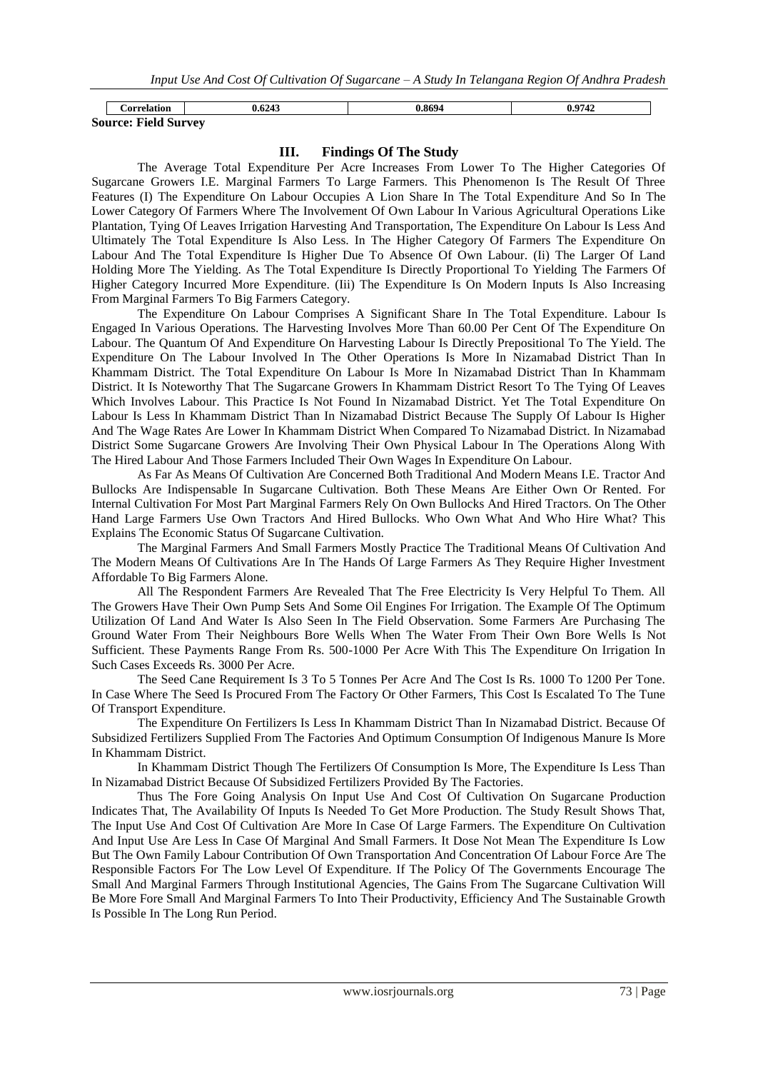|   | <b>Ampala</b><br>tion                            | 6243 | 9604 | 0742<br>776 |
|---|--------------------------------------------------|------|------|-------------|
| - | $\cdots$<br>$\mathbf{H}$<br>Source: Field Survey |      |      |             |

# **III. Findings Of The Study**

The Average Total Expenditure Per Acre Increases From Lower To The Higher Categories Of Sugarcane Growers I.E. Marginal Farmers To Large Farmers. This Phenomenon Is The Result Of Three Features (I) The Expenditure On Labour Occupies A Lion Share In The Total Expenditure And So In The Lower Category Of Farmers Where The Involvement Of Own Labour In Various Agricultural Operations Like Plantation, Tying Of Leaves Irrigation Harvesting And Transportation, The Expenditure On Labour Is Less And Ultimately The Total Expenditure Is Also Less. In The Higher Category Of Farmers The Expenditure On Labour And The Total Expenditure Is Higher Due To Absence Of Own Labour. (Ii) The Larger Of Land Holding More The Yielding. As The Total Expenditure Is Directly Proportional To Yielding The Farmers Of Higher Category Incurred More Expenditure. (Iii) The Expenditure Is On Modern Inputs Is Also Increasing From Marginal Farmers To Big Farmers Category.

The Expenditure On Labour Comprises A Significant Share In The Total Expenditure. Labour Is Engaged In Various Operations. The Harvesting Involves More Than 60.00 Per Cent Of The Expenditure On Labour. The Quantum Of And Expenditure On Harvesting Labour Is Directly Prepositional To The Yield. The Expenditure On The Labour Involved In The Other Operations Is More In Nizamabad District Than In Khammam District. The Total Expenditure On Labour Is More In Nizamabad District Than In Khammam District. It Is Noteworthy That The Sugarcane Growers In Khammam District Resort To The Tying Of Leaves Which Involves Labour. This Practice Is Not Found In Nizamabad District. Yet The Total Expenditure On Labour Is Less In Khammam District Than In Nizamabad District Because The Supply Of Labour Is Higher And The Wage Rates Are Lower In Khammam District When Compared To Nizamabad District. In Nizamabad District Some Sugarcane Growers Are Involving Their Own Physical Labour In The Operations Along With The Hired Labour And Those Farmers Included Their Own Wages In Expenditure On Labour.

As Far As Means Of Cultivation Are Concerned Both Traditional And Modern Means I.E. Tractor And Bullocks Are Indispensable In Sugarcane Cultivation. Both These Means Are Either Own Or Rented. For Internal Cultivation For Most Part Marginal Farmers Rely On Own Bullocks And Hired Tractors. On The Other Hand Large Farmers Use Own Tractors And Hired Bullocks. Who Own What And Who Hire What? This Explains The Economic Status Of Sugarcane Cultivation.

The Marginal Farmers And Small Farmers Mostly Practice The Traditional Means Of Cultivation And The Modern Means Of Cultivations Are In The Hands Of Large Farmers As They Require Higher Investment Affordable To Big Farmers Alone.

All The Respondent Farmers Are Revealed That The Free Electricity Is Very Helpful To Them. All The Growers Have Their Own Pump Sets And Some Oil Engines For Irrigation. The Example Of The Optimum Utilization Of Land And Water Is Also Seen In The Field Observation. Some Farmers Are Purchasing The Ground Water From Their Neighbours Bore Wells When The Water From Their Own Bore Wells Is Not Sufficient. These Payments Range From Rs. 500-1000 Per Acre With This The Expenditure On Irrigation In Such Cases Exceeds Rs. 3000 Per Acre.

The Seed Cane Requirement Is 3 To 5 Tonnes Per Acre And The Cost Is Rs. 1000 To 1200 Per Tone. In Case Where The Seed Is Procured From The Factory Or Other Farmers, This Cost Is Escalated To The Tune Of Transport Expenditure.

The Expenditure On Fertilizers Is Less In Khammam District Than In Nizamabad District. Because Of Subsidized Fertilizers Supplied From The Factories And Optimum Consumption Of Indigenous Manure Is More In Khammam District.

In Khammam District Though The Fertilizers Of Consumption Is More, The Expenditure Is Less Than In Nizamabad District Because Of Subsidized Fertilizers Provided By The Factories.

Thus The Fore Going Analysis On Input Use And Cost Of Cultivation On Sugarcane Production Indicates That, The Availability Of Inputs Is Needed To Get More Production. The Study Result Shows That, The Input Use And Cost Of Cultivation Are More In Case Of Large Farmers. The Expenditure On Cultivation And Input Use Are Less In Case Of Marginal And Small Farmers. It Dose Not Mean The Expenditure Is Low But The Own Family Labour Contribution Of Own Transportation And Concentration Of Labour Force Are The Responsible Factors For The Low Level Of Expenditure. If The Policy Of The Governments Encourage The Small And Marginal Farmers Through Institutional Agencies, The Gains From The Sugarcane Cultivation Will Be More Fore Small And Marginal Farmers To Into Their Productivity, Efficiency And The Sustainable Growth Is Possible In The Long Run Period.